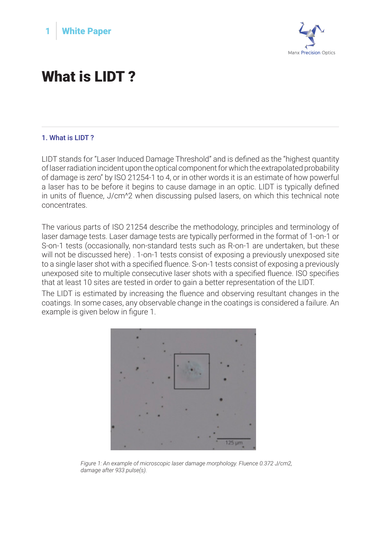



## What is LIDT ?

## 1. What is LIDT ?

LIDT stands for "Laser Induced Damage Threshold" and is defined as the "highest quantity of laser radiation incident upon the optical component for which the extrapolated probability of damage is zero" by ISO 21254-1 to 4, or in other words it is an estimate of how powerful a laser has to be before it begins to cause damage in an optic. LIDT is typically defined in units of fluence, J/cm^2 when discussing pulsed lasers, on which this technical note concentrates.

The various parts of ISO 21254 describe the methodology, principles and terminology of laser damage tests. Laser damage tests are typically performed in the format of 1-on-1 or S-on-1 tests (occasionally, non-standard tests such as R-on-1 are undertaken, but these will not be discussed here) . 1-on-1 tests consist of exposing a previously unexposed site to a single laser shot with a specified fluence. S-on-1 tests consist of exposing a previously unexposed site to multiple consecutive laser shots with a specified fluence. ISO specifies that at least 10 sites are tested in order to gain a better representation of the LIDT.

The LIDT is estimated by increasing the fluence and observing resultant changes in the coatings. In some cases, any observable change in the coatings is considered a failure. An example is given below in figure 1.



*Figure 1: An example of microscopic laser damage morphology. Fluence 0.372 J/cm2, damage after 933 pulse(s).*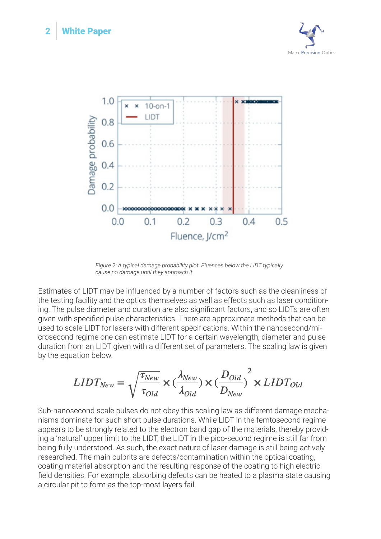



*Figure 2: A typical damage probability plot. Fluences below the LIDT typically cause no damage until they approach it.* 

Estimates of LIDT may be influenced by a number of factors such as the cleanliness of the testing facility and the optics themselves as well as effects such as laser conditioning. The pulse diameter and duration are also significant factors, and so LIDTs are often given with specified pulse characteristics. There are approximate methods that can be used to scale LIDT for lasers with different specifications. Within the nanosecond/microsecond regime one can estimate LIDT for a certain wavelength, diameter and pulse duration from an LIDT given with a different set of parameters. The scaling law is given by the equation below.

$$
LIDT_{New} = \sqrt{\frac{\tau_{New}}{\tau_{Old}}} \times (\frac{\lambda_{New}}{\lambda_{Old}}) \times (\frac{D_{Old}}{D_{New}})^{2} \times LIDT_{Old}
$$

Sub-nanosecond scale pulses do not obey this scaling law as different damage mechanisms dominate for such short pulse durations. While LIDT in the femtosecond regime appears to be strongly related to the electron band gap of the materials, thereby providing a 'natural' upper limit to the LIDT, the LIDT in the pico-second regime is still far from being fully understood. As such, the exact nature of laser damage is still being actively researched. The main culprits are defects/contamination within the optical coating, coating material absorption and the resulting response of the coating to high electric field densities. For example, absorbing defects can be heated to a plasma state causing a circular pit to form as the top-most layers fail.